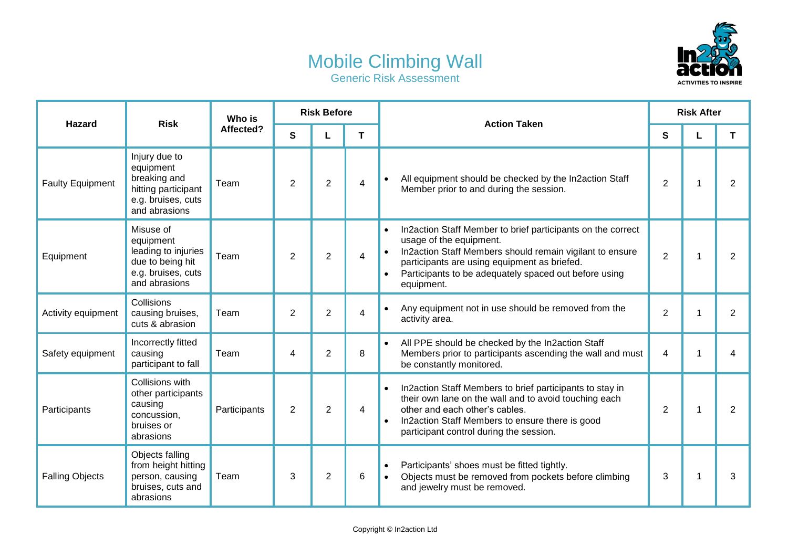## Mobile Climbing Wall Generic Risk Assessment



| <b>Hazard</b>           | <b>Risk</b>                                                                                              | Who is<br>Affected? | <b>Risk Before</b> |                |                | <b>Action Taken</b>                                                                                                                                                                                                                                                                                              | <b>Risk After</b> |              |                |  |
|-------------------------|----------------------------------------------------------------------------------------------------------|---------------------|--------------------|----------------|----------------|------------------------------------------------------------------------------------------------------------------------------------------------------------------------------------------------------------------------------------------------------------------------------------------------------------------|-------------------|--------------|----------------|--|
|                         |                                                                                                          |                     | $\mathbf{s}$       | L              | T              |                                                                                                                                                                                                                                                                                                                  | S                 | L            | T              |  |
| <b>Faulty Equipment</b> | Injury due to<br>equipment<br>breaking and<br>hitting participant<br>e.g. bruises, cuts<br>and abrasions | Team                | 2                  | $\overline{2}$ | 4              | All equipment should be checked by the In2action Staff<br>$\bullet$<br>Member prior to and during the session.                                                                                                                                                                                                   | $\overline{2}$    | $\mathbf{1}$ | $\overline{2}$ |  |
| Equipment               | Misuse of<br>equipment<br>leading to injuries<br>due to being hit<br>e.g. bruises, cuts<br>and abrasions | Team                | $\overline{2}$     | $\overline{2}$ | 4              | In2action Staff Member to brief participants on the correct<br>$\bullet$<br>usage of the equipment.<br>In2action Staff Members should remain vigilant to ensure<br>$\bullet$<br>participants are using equipment as briefed.<br>Participants to be adequately spaced out before using<br>$\bullet$<br>equipment. | $\overline{2}$    | $\mathbf{1}$ | $\overline{2}$ |  |
| Activity equipment      | Collisions<br>causing bruises,<br>cuts & abrasion                                                        | Team                | $\overline{2}$     | $\overline{2}$ | $\overline{4}$ | Any equipment not in use should be removed from the<br>$\bullet$<br>activity area.                                                                                                                                                                                                                               | $\overline{2}$    | 1            | $\overline{2}$ |  |
| Safety equipment        | Incorrectly fitted<br>causing<br>participant to fall                                                     | Team                | 4                  | $\overline{2}$ | 8              | All PPE should be checked by the In2action Staff<br>$\bullet$<br>Members prior to participants ascending the wall and must<br>be constantly monitored.                                                                                                                                                           | $\overline{4}$    | 1            | $\overline{4}$ |  |
| Participants            | Collisions with<br>other participants<br>causing<br>concussion,<br>bruises or<br>abrasions               | Participants        | 2                  | $\overline{2}$ | 4              | In2action Staff Members to brief participants to stay in<br>$\bullet$<br>their own lane on the wall and to avoid touching each<br>other and each other's cables.<br>In2action Staff Members to ensure there is good<br>$\bullet$<br>participant control during the session.                                      | $\overline{2}$    | 1            | $\overline{2}$ |  |
| <b>Falling Objects</b>  | Objects falling<br>from height hitting<br>person, causing<br>bruises, cuts and<br>abrasions              | Team                | 3                  | $\overline{2}$ | 6              | Participants' shoes must be fitted tightly.<br>$\bullet$<br>Objects must be removed from pockets before climbing<br>$\bullet$<br>and jewelry must be removed.                                                                                                                                                    | 3                 | 1            | 3              |  |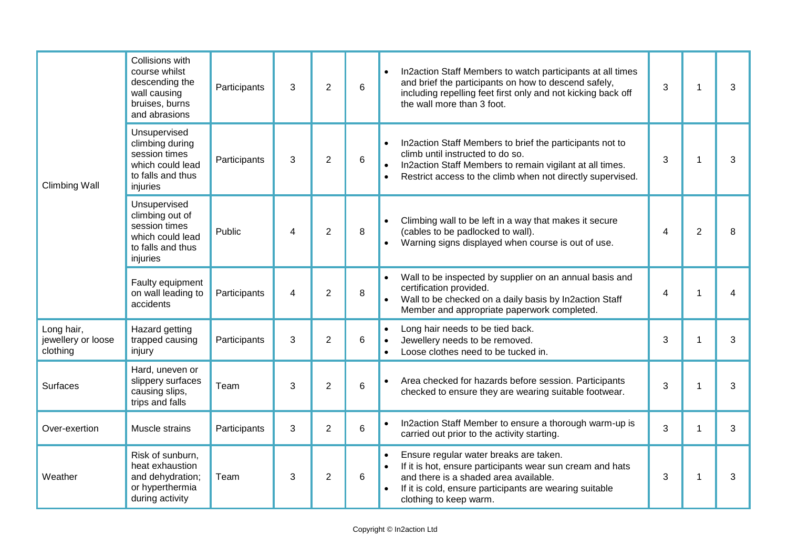| <b>Climbing Wall</b>                         | Collisions with<br>course whilst<br>descending the<br>wall causing<br>bruises, burns<br>and abrasions | Participants | 3 | $\overline{2}$ | 6 | In2action Staff Members to watch participants at all times<br>$\bullet$<br>and brief the participants on how to descend safely,<br>including repelling feet first only and not kicking back off<br>the wall more than 3 foot.       | 3              | 1            | 3 |
|----------------------------------------------|-------------------------------------------------------------------------------------------------------|--------------|---|----------------|---|-------------------------------------------------------------------------------------------------------------------------------------------------------------------------------------------------------------------------------------|----------------|--------------|---|
|                                              | Unsupervised<br>climbing during<br>session times<br>which could lead<br>to falls and thus<br>injuries | Participants | 3 | $\overline{2}$ | 6 | In2action Staff Members to brief the participants not to<br>$\bullet$<br>climb until instructed to do so.<br>In2action Staff Members to remain vigilant at all times.<br>Restrict access to the climb when not directly supervised. | 3              | 1            | 3 |
|                                              | Unsupervised<br>climbing out of<br>session times<br>which could lead<br>to falls and thus<br>injuries | Public       | 4 | $\overline{2}$ | 8 | Climbing wall to be left in a way that makes it secure<br>(cables to be padlocked to wall).<br>Warning signs displayed when course is out of use.                                                                                   | $\overline{4}$ | 2            | 8 |
|                                              | Faulty equipment<br>on wall leading to<br>accidents                                                   | Participants | 4 | $\overline{2}$ | 8 | Wall to be inspected by supplier on an annual basis and<br>certification provided.<br>Wall to be checked on a daily basis by In2action Staff<br>Member and appropriate paperwork completed.                                         | 4              | 1            | 4 |
| Long hair,<br>jewellery or loose<br>clothing | Hazard getting<br>trapped causing<br>injury                                                           | Participants | 3 | $\overline{2}$ | 6 | Long hair needs to be tied back.<br>Jewellery needs to be removed.<br>$\bullet$<br>Loose clothes need to be tucked in.<br>$\bullet$                                                                                                 | 3              | 1            | 3 |
| <b>Surfaces</b>                              | Hard, uneven or<br>slippery surfaces<br>causing slips,<br>trips and falls                             | Team         | 3 | $\overline{2}$ | 6 | Area checked for hazards before session. Participants<br>checked to ensure they are wearing suitable footwear.                                                                                                                      | 3              | 1            | 3 |
| Over-exertion                                | Muscle strains                                                                                        | Participants | 3 | $\overline{2}$ | 6 | In2action Staff Member to ensure a thorough warm-up is<br>carried out prior to the activity starting.                                                                                                                               | 3              | $\mathbf{1}$ | 3 |
| Weather                                      | Risk of sunburn,<br>heat exhaustion<br>and dehydration;<br>or hyperthermia<br>during activity         | Team         | 3 | $\overline{2}$ | 6 | Ensure regular water breaks are taken.<br>If it is hot, ensure participants wear sun cream and hats<br>and there is a shaded area available.<br>If it is cold, ensure participants are wearing suitable<br>clothing to keep warm.   | 3              | 1            | 3 |